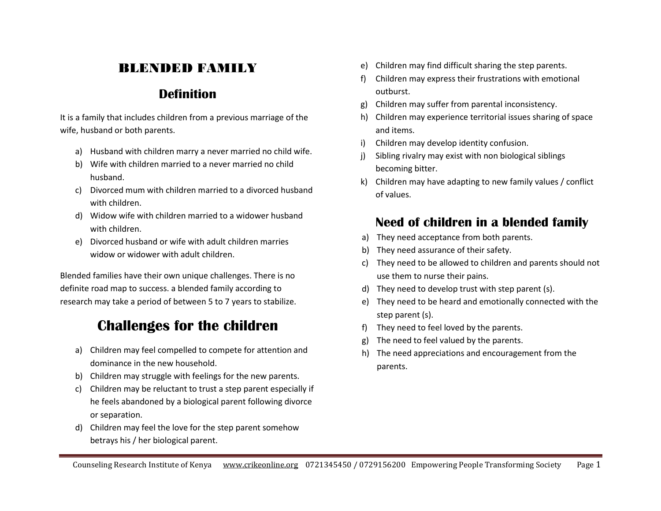### BLENDED FAMILY

#### **Definition**

It is a family that includes children from a previous marriage of the wife, husband or both parents.

- a) Husband with children marry a never married no child wife.
- b) Wife with children married to a never married no child husband.
- c) Divorced mum with children married to a divorced husband with children.
- d) Widow wife with children married to a widower husband with children.
- e) Divorced husband or wife with adult children marries widow or widower with adult children.

Blended families have their own unique challenges. There is no definite road map to success. a blended family according to research may take a period of between 5 to 7 years to stabilize.

## **Challenges for the children**

- a) Children may feel compelled to compete for attention and dominance in the new household.
- b) Children may struggle with feelings for the new parents.
- c) Children may be reluctant to trust a step parent especially if he feels abandoned by a biological parent following divorce or separation.
- d) Children may feel the love for the step parent somehow betrays his / her biological parent.
- e) Children may find difficult sharing the step parents.
- f) Children may express their frustrations with emotional outburst.
- g) Children may suffer from parental inconsistency.
- h) Children may experience territorial issues sharing of space and items.
- i) Children may develop identity confusion.
- j) Sibling rivalry may exist with non biological siblings becoming bitter.
- k) Children may have adapting to new family values / conflict of values.

#### **Need of children in a blended family**

- a) They need acceptance from both parents.
- b) They need assurance of their safety.
- c) They need to be allowed to children and parents should not use them to nurse their pains.
- d) They need to develop trust with step parent (s).
- e) They need to be heard and emotionally connected with the step parent (s).
- f) They need to feel loved by the parents.
- g) The need to feel valued by the parents.
- h) The need appreciations and encouragement from the parents.